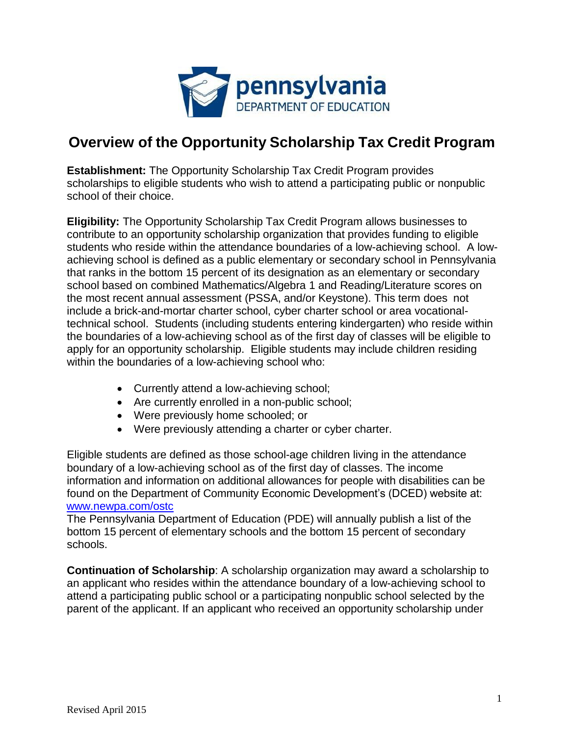

## **Overview of the Opportunity Scholarship Tax Credit Program**

**Establishment:** The Opportunity Scholarship Tax Credit Program provides scholarships to eligible students who wish to attend a participating public or nonpublic school of their choice.

**Eligibility:** The Opportunity Scholarship Tax Credit Program allows businesses to contribute to an opportunity scholarship organization that provides funding to eligible students who reside within the attendance boundaries of a low-achieving school. A lowachieving school is defined as a public elementary or secondary school in Pennsylvania that ranks in the bottom 15 percent of its designation as an elementary or secondary school based on combined Mathematics/Algebra 1 and Reading/Literature scores on the most recent annual assessment (PSSA, and/or Keystone). This term does not include a brick-and-mortar charter school, cyber charter school or area vocationaltechnical school. Students (including students entering kindergarten) who reside within the boundaries of a low-achieving school as of the first day of classes will be eligible to apply for an opportunity scholarship. Eligible students may include children residing within the boundaries of a low-achieving school who:

- Currently attend a low-achieving school;
- Are currently enrolled in a non-public school;
- Were previously home schooled; or
- Were previously attending a charter or cyber charter.

Eligible students are defined as those school-age children living in the attendance boundary of a low-achieving school as of the first day of classes. The income information and information on additional allowances for people with disabilities can be found on the Department of Community Economic Development's (DCED) website at: [www.newpa.com/ostc](http://www.newpa.com/ostc)

The Pennsylvania Department of Education (PDE) will annually publish a list of the bottom 15 percent of elementary schools and the bottom 15 percent of secondary schools.

**Continuation of Scholarship**: A scholarship organization may award a scholarship to an applicant who resides within the attendance boundary of a low-achieving school to attend a participating public school or a participating nonpublic school selected by the parent of the applicant. If an applicant who received an opportunity scholarship under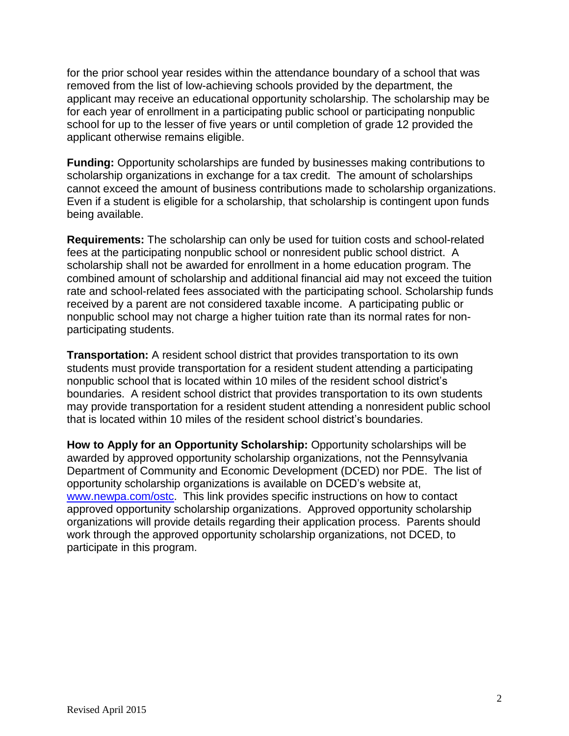for the prior school year resides within the attendance boundary of a school that was removed from the list of low-achieving schools provided by the department, the applicant may receive an educational opportunity scholarship. The scholarship may be for each year of enrollment in a participating public school or participating nonpublic school for up to the lesser of five years or until completion of grade 12 provided the applicant otherwise remains eligible.

**Funding:** Opportunity scholarships are funded by businesses making contributions to scholarship organizations in exchange for a tax credit. The amount of scholarships cannot exceed the amount of business contributions made to scholarship organizations. Even if a student is eligible for a scholarship, that scholarship is contingent upon funds being available.

**Requirements:** The scholarship can only be used for tuition costs and school-related fees at the participating nonpublic school or nonresident public school district. A scholarship shall not be awarded for enrollment in a home education program. The combined amount of scholarship and additional financial aid may not exceed the tuition rate and school-related fees associated with the participating school. Scholarship funds received by a parent are not considered taxable income. A participating public or nonpublic school may not charge a higher tuition rate than its normal rates for nonparticipating students.

**Transportation:** A resident school district that provides transportation to its own students must provide transportation for a resident student attending a participating nonpublic school that is located within 10 miles of the resident school district's boundaries. A resident school district that provides transportation to its own students may provide transportation for a resident student attending a nonresident public school that is located within 10 miles of the resident school district's boundaries.

**How to Apply for an Opportunity Scholarship:** Opportunity scholarships will be awarded by approved opportunity scholarship organizations, not the Pennsylvania Department of Community and Economic Development (DCED) nor PDE. The list of opportunity scholarship organizations is available on DCED's website at, [www.newpa.com/ostc.](http://www.newpa.com/ostc) This link provides specific instructions on how to contact approved opportunity scholarship organizations. Approved opportunity scholarship organizations will provide details regarding their application process. Parents should work through the approved opportunity scholarship organizations, not DCED, to participate in this program.